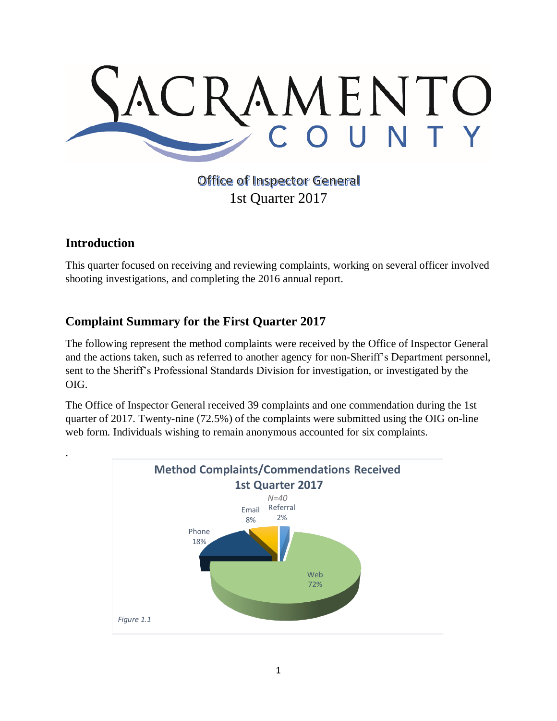

# **Office of Inspector General** 1st Quarter 2017

## **Introduction**

.

This quarter focused on receiving and reviewing complaints, working on several officer involved shooting investigations, and completing the 2016 annual report.

# **Complaint Summary for the First Quarter 2017**

The following represent the method complaints were received by the Office of Inspector General and the actions taken, such as referred to another agency for non-Sheriff's Department personnel, sent to the Sheriff's Professional Standards Division for investigation, or investigated by the OIG.

The Office of Inspector General received 39 complaints and one commendation during the 1st quarter of 2017. Twenty-nine (72.5%) of the complaints were submitted using the OIG on-line web form. Individuals wishing to remain anonymous accounted for six complaints.